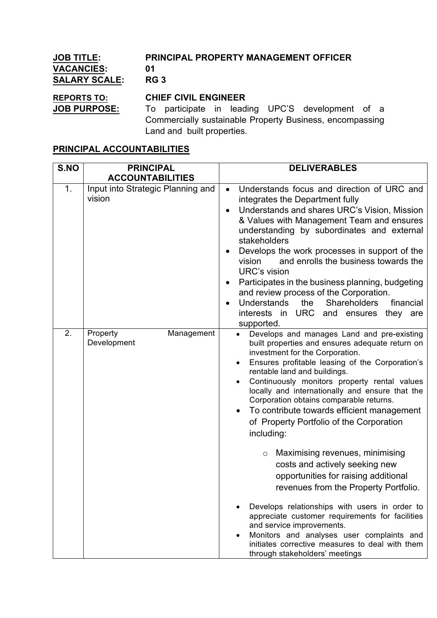| <b>JOB TITLE:</b>    | PRINCIPAL PROPERTY MANAGEMENT OFFICER                    |  |  |  |
|----------------------|----------------------------------------------------------|--|--|--|
| <b>VACANCIES:</b>    | 01                                                       |  |  |  |
| <b>SALARY SCALE:</b> | <b>RG 3</b>                                              |  |  |  |
| <b>REPORTS TO:</b>   | <b>CHIEF CIVIL ENGINEER</b>                              |  |  |  |
| <b>JOB PURPOSE:</b>  | To participate in leading UPC'S development of a         |  |  |  |
|                      | Commercially sustainable Property Business, encompassing |  |  |  |
|                      | Land and built properties.                               |  |  |  |

## **PRINCIPAL ACCOUNTABILITIES**

| S.NO | <b>PRINCIPAL</b>                            | <b>DELIVERABLES</b>                                                                                                                                                                                                                                                                                                                                                                                                                                                                                                                                                                                                                                                                                                                                                                                                                                                                                           |
|------|---------------------------------------------|---------------------------------------------------------------------------------------------------------------------------------------------------------------------------------------------------------------------------------------------------------------------------------------------------------------------------------------------------------------------------------------------------------------------------------------------------------------------------------------------------------------------------------------------------------------------------------------------------------------------------------------------------------------------------------------------------------------------------------------------------------------------------------------------------------------------------------------------------------------------------------------------------------------|
|      | <b>ACCOUNTABILITIES</b>                     |                                                                                                                                                                                                                                                                                                                                                                                                                                                                                                                                                                                                                                                                                                                                                                                                                                                                                                               |
| 1.   | Input into Strategic Planning and<br>vision | Understands focus and direction of URC and<br>$\bullet$<br>integrates the Department fully<br>Understands and shares URC's Vision, Mission<br>& Values with Management Team and ensures<br>understanding by subordinates and external<br>stakeholders<br>Develops the work processes in support of the<br>and enrolls the business towards the<br>vision<br><b>URC's vision</b><br>Participates in the business planning, budgeting<br>and review process of the Corporation.<br>Understands<br>the<br><b>Shareholders</b><br>financial<br>interests in URC<br>and<br>ensures<br>they<br>are<br>supported.                                                                                                                                                                                                                                                                                                    |
| 2.   | Property<br>Management<br>Development       | Develops and manages Land and pre-existing<br>built properties and ensures adequate return on<br>investment for the Corporation.<br>Ensures profitable leasing of the Corporation's<br>rentable land and buildings.<br>Continuously monitors property rental values<br>locally and internationally and ensure that the<br>Corporation obtains comparable returns.<br>To contribute towards efficient management<br>of Property Portfolio of the Corporation<br>including:<br>Maximising revenues, minimising<br>$\circ$<br>costs and actively seeking new<br>opportunities for raising additional<br>revenues from the Property Portfolio.<br>Develops relationships with users in order to<br>appreciate customer requirements for facilities<br>and service improvements.<br>Monitors and analyses user complaints and<br>initiates corrective measures to deal with them<br>through stakeholders' meetings |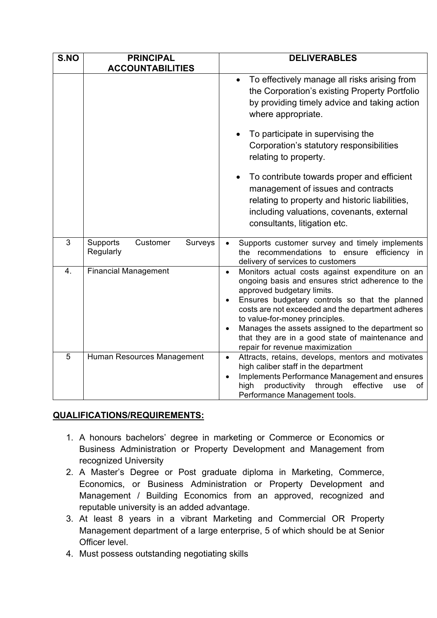| S.NO             | <b>PRINCIPAL</b><br><b>ACCOUNTABILITIES</b>  | <b>DELIVERABLES</b>                                                                                                                                                                                                                                                                                                                                                                                                                              |
|------------------|----------------------------------------------|--------------------------------------------------------------------------------------------------------------------------------------------------------------------------------------------------------------------------------------------------------------------------------------------------------------------------------------------------------------------------------------------------------------------------------------------------|
|                  |                                              | To effectively manage all risks arising from<br>the Corporation's existing Property Portfolio<br>by providing timely advice and taking action<br>where appropriate.<br>To participate in supervising the                                                                                                                                                                                                                                         |
|                  |                                              | Corporation's statutory responsibilities<br>relating to property.                                                                                                                                                                                                                                                                                                                                                                                |
|                  |                                              | To contribute towards proper and efficient<br>management of issues and contracts<br>relating to property and historic liabilities,<br>including valuations, covenants, external<br>consultants, litigation etc.                                                                                                                                                                                                                                  |
| $\overline{3}$   | Supports<br>Customer<br>Surveys<br>Regularly | Supports customer survey and timely implements<br>the recommendations to ensure<br>efficiency in<br>delivery of services to customers                                                                                                                                                                                                                                                                                                            |
| $\overline{4}$ . | <b>Financial Management</b>                  | Monitors actual costs against expenditure on an<br>$\bullet$<br>ongoing basis and ensures strict adherence to the<br>approved budgetary limits.<br>Ensures budgetary controls so that the planned<br>costs are not exceeded and the department adheres<br>to value-for-money principles.<br>Manages the assets assigned to the department so<br>$\bullet$<br>that they are in a good state of maintenance and<br>repair for revenue maximization |
| 5                | Human Resources Management                   | Attracts, retains, develops, mentors and motivates<br>$\bullet$<br>high caliber staff in the department<br>Implements Performance Management and ensures<br>$\bullet$<br>productivity<br>through<br>effective<br>high<br>οf<br>use<br>Performance Management tools.                                                                                                                                                                              |

## **QUALIFICATIONS/REQUIREMENTS:**

- 1. A honours bachelors' degree in marketing or Commerce or Economics or Business Administration or Property Development and Management from recognized University
- 2. A Master's Degree or Post graduate diploma in Marketing, Commerce, Economics, or Business Administration or Property Development and Management / Building Economics from an approved, recognized and reputable university is an added advantage.
- 3. At least 8 years in a vibrant Marketing and Commercial OR Property Management department of a large enterprise, 5 of which should be at Senior Officer level.
- 4. Must possess outstanding negotiating skills